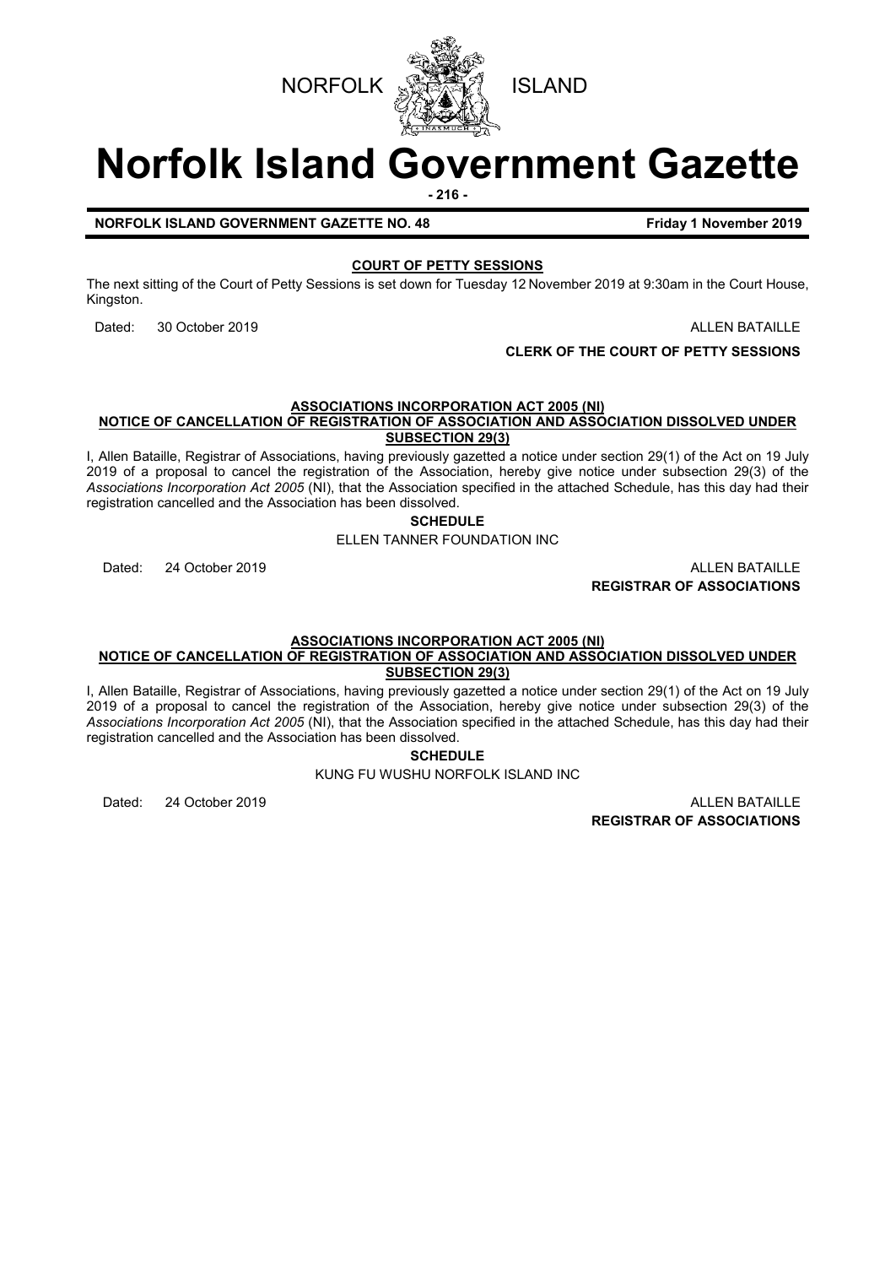

# **Norfolk Island Government Gazette**

**- 216 -**

**NORFOLK ISLAND GOVERNMENT GAZETTE NO. 48 Friday 1 November 2019**

## **COURT OF PETTY SESSIONS**

The next sitting of the Court of Petty Sessions is set down for Tuesday 12 November 2019 at 9:30am in the Court House, Kingston.

Dated: 30 October 2019 ALLEN BATAILLE

**CLERK OF THE COURT OF PETTY SESSIONS**

## **ASSOCIATIONS INCORPORATION ACT 2005 (NI)**

**NOTICE OF CANCELLATION OF REGISTRATION OF ASSOCIATION AND ASSOCIATION DISSOLVED UNDER SUBSECTION 29(3)**

I, Allen Bataille, Registrar of Associations, having previously gazetted a notice under section 29(1) of the Act on 19 July 2019 of a proposal to cancel the registration of the Association, hereby give notice under subsection 29(3) of the *Associations Incorporation Act 2005* (NI), that the Association specified in the attached Schedule, has this day had their registration cancelled and the Association has been dissolved.

**SCHEDULE**

ELLEN TANNER FOUNDATION INC

Dated: 24 October 2019 **ALLEN BATAILLE REGISTRAR OF ASSOCIATIONS**

#### **ASSOCIATIONS INCORPORATION ACT 2005 (NI) NOTICE OF CANCELLATION OF REGISTRATION OF ASSOCIATION AND ASSOCIATION DISSOLVED UNDER SUBSECTION 29(3)**

I, Allen Bataille, Registrar of Associations, having previously gazetted a notice under section 29(1) of the Act on 19 July 2019 of a proposal to cancel the registration of the Association, hereby give notice under subsection 29(3) of the *Associations Incorporation Act 2005* (NI), that the Association specified in the attached Schedule, has this day had their registration cancelled and the Association has been dissolved.

**SCHEDULE**

KUNG FU WUSHU NORFOLK ISLAND INC

Dated: 24 October 2019 ALLEN BATAILLE **REGISTRAR OF ASSOCIATIONS**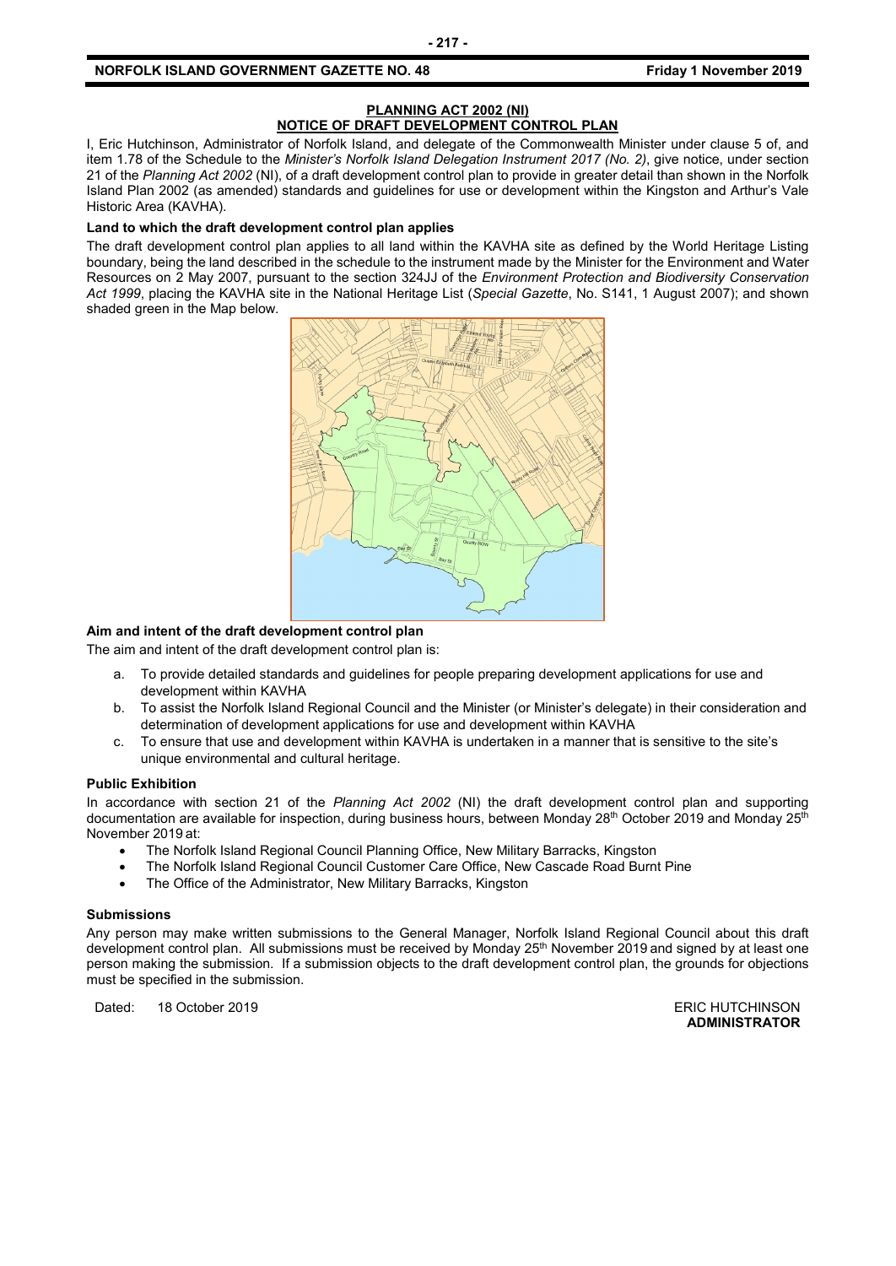#### **PLANNING ACT 2002 (NI) NOTICE OF DRAFT DEVELOPMENT CONTROL PLAN**

I, Eric Hutchinson, Administrator of Norfolk Island, and delegate of the Commonwealth Minister under clause 5 of, and item 1.78 of the Schedule to the *Minister's Norfolk Island Delegation Instrument 2017 (No. 2)*, give notice, under section 21 of the *Planning Act 2002* (NI), of a draft development control plan to provide in greater detail than shown in the Norfolk Island Plan 2002 (as amended) standards and guidelines for use or development within the Kingston and Arthur's Vale Historic Area (KAVHA).

#### **Land to which the draft development control plan applies**

The draft development control plan applies to all land within the KAVHA site as defined by the World Heritage Listing boundary, being the land described in the schedule to the instrument made by the Minister for the Environment and Water Resources on 2 May 2007, pursuant to the section 324JJ of the *Environment Protection and Biodiversity Conservation Act 1999*, placing the KAVHA site in the National Heritage List (*Special Gazette*, No. S141, 1 August 2007); and shown shaded green in the Map below.



#### **Aim and intent of the draft development control plan**

The aim and intent of the draft development control plan is:

- a. To provide detailed standards and guidelines for people preparing development applications for use and development within KAVHA
- b. To assist the Norfolk Island Regional Council and the Minister (or Minister's delegate) in their consideration and determination of development applications for use and development within KAVHA
- c. To ensure that use and development within KAVHA is undertaken in a manner that is sensitive to the site's unique environmental and cultural heritage.

#### **Public Exhibition**

In accordance with section 21 of the *Planning Act 2002* (NI) the draft development control plan and supporting documentation are available for inspection, during business hours, between Monday 28<sup>th</sup> October 2019 and Monday 25<sup>th</sup> November 2019 at:

- The Norfolk Island Regional Council Planning Office, New Military Barracks, Kingston
- The Norfolk Island Regional Council Customer Care Office, New Cascade Road Burnt Pine
- The Office of the Administrator, New Military Barracks, Kingston

#### **Submissions**

Any person may make written submissions to the General Manager, Norfolk Island Regional Council about this draft development control plan. All submissions must be received by Monday 25<sup>th</sup> November 2019 and signed by at least one person making the submission. If a submission objects to the draft development control plan, the grounds for objections must be specified in the submission.

Dated: 18 October 2019 **ERIC HUTCHINSON** 

**ADMINISTRATOR**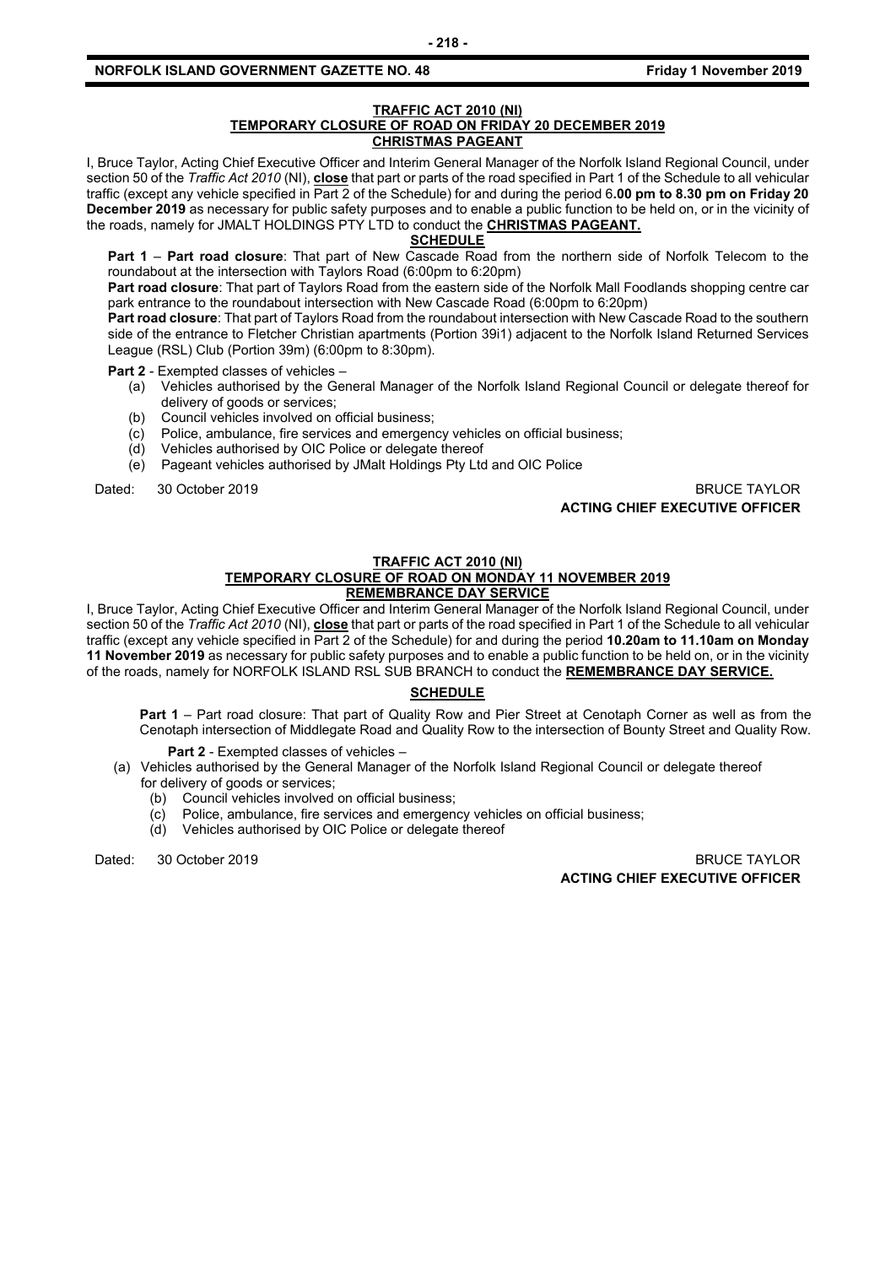#### **TRAFFIC ACT 2010 (NI) TEMPORARY CLOSURE OF ROAD ON FRIDAY 20 DECEMBER 2019 CHRISTMAS PAGEANT**

I, Bruce Taylor, Acting Chief Executive Officer and Interim General Manager of the Norfolk Island Regional Council, under section 50 of the *Traffic Act 2010* (NI), **close** that part or parts of the road specified in Part 1 of the Schedule to all vehicular traffic (except any vehicle specified in Part 2 of the Schedule) for and during the period 6**.00 pm to 8.30 pm on Friday 20 December 2019** as necessary for public safety purposes and to enable a public function to be held on, or in the vicinity of the roads, namely for JMALT HOLDINGS PTY LTD to conduct the **CHRISTMAS PAGEANT.**

#### **SCHEDULE**

**Part 1** – **Part road closure**: That part of New Cascade Road from the northern side of Norfolk Telecom to the roundabout at the intersection with Taylors Road (6:00pm to 6:20pm)

**Part road closure**: That part of Taylors Road from the eastern side of the Norfolk Mall Foodlands shopping centre car park entrance to the roundabout intersection with New Cascade Road (6:00pm to 6:20pm)

**Part road closure**: That part of Taylors Road from the roundabout intersection with New Cascade Road to the southern side of the entrance to Fletcher Christian apartments (Portion 39i1) adjacent to the Norfolk Island Returned Services League (RSL) Club (Portion 39m) (6:00pm to 8:30pm).

**Part 2** - Exempted classes of vehicles –

- (a) Vehicles authorised by the General Manager of the Norfolk Island Regional Council or delegate thereof for delivery of goods or services;
- (b) Council vehicles involved on official business;
- (c) Police, ambulance, fire services and emergency vehicles on official business;
- (d) Vehicles authorised by OIC Police or delegate thereof
- (e) Pageant vehicles authorised by JMalt Holdings Pty Ltd and OIC Police

Dated: 30 October 2019 BRUCE TAYLOR **ACTING CHIEF EXECUTIVE OFFICER**

## **TRAFFIC ACT 2010 (NI)**

## **TEMPORARY CLOSURE OF ROAD ON MONDAY 11 NOVEMBER 2019**

## **REMEMBRANCE DAY SERVICE**

I, Bruce Taylor, Acting Chief Executive Officer and Interim General Manager of the Norfolk Island Regional Council, under section 50 of the *Traffic Act 2010* (NI), **close** that part or parts of the road specified in Part 1 of the Schedule to all vehicular traffic (except any vehicle specified in Part 2 of the Schedule) for and during the period **10.20am to 11.10am on Monday 11 November 2019** as necessary for public safety purposes and to enable a public function to be held on, or in the vicinity of the roads, namely for NORFOLK ISLAND RSL SUB BRANCH to conduct the **REMEMBRANCE DAY SERVICE.**

### **SCHEDULE**

**Part 1** – Part road closure: That part of Quality Row and Pier Street at Cenotaph Corner as well as from the Cenotaph intersection of Middlegate Road and Quality Row to the intersection of Bounty Street and Quality Row.

**Part 2** - Exempted classes of vehicles –

- (a) Vehicles authorised by the General Manager of the Norfolk Island Regional Council or delegate thereof for delivery of goods or services;
	- (b) Council vehicles involved on official business;
	- (c) Police, ambulance, fire services and emergency vehicles on official business;
	- (d) Vehicles authorised by OIC Police or delegate thereof

Dated: 30 October 2019 BRUCE TAYLOR **ACTING CHIEF EXECUTIVE OFFICER**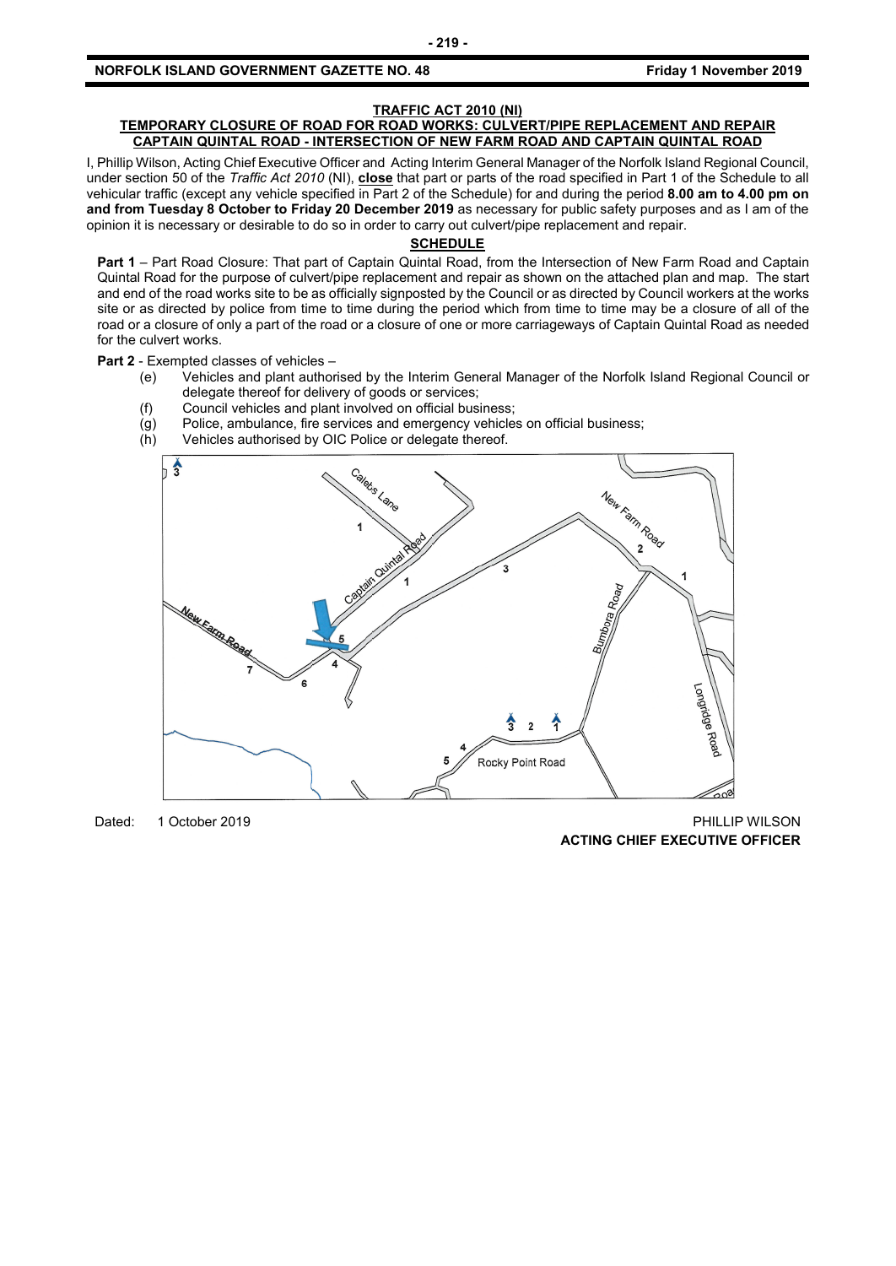#### **TRAFFIC ACT 2010 (NI)**

#### **TEMPORARY CLOSURE OF ROAD FOR ROAD WORKS: CULVERT/PIPE REPLACEMENT AND REPAIR CAPTAIN QUINTAL ROAD - INTERSECTION OF NEW FARM ROAD AND CAPTAIN QUINTAL ROAD**

I, Phillip Wilson, Acting Chief Executive Officer and Acting Interim General Manager of the Norfolk Island Regional Council, under section 50 of the *Traffic Act 2010* (NI), **close** that part or parts of the road specified in Part 1 of the Schedule to all vehicular traffic (except any vehicle specified in Part 2 of the Schedule) for and during the period **8.00 am to 4.00 pm on and from Tuesday 8 October to Friday 20 December 2019** as necessary for public safety purposes and as I am of the opinion it is necessary or desirable to do so in order to carry out culvert/pipe replacement and repair.

#### **SCHEDULE**

**Part 1** – Part Road Closure: That part of Captain Quintal Road, from the Intersection of New Farm Road and Captain Quintal Road for the purpose of culvert/pipe replacement and repair as shown on the attached plan and map. The start and end of the road works site to be as officially signposted by the Council or as directed by Council workers at the works site or as directed by police from time to time during the period which from time to time may be a closure of all of the road or a closure of only a part of the road or a closure of one or more carriageways of Captain Quintal Road as needed for the culvert works.

#### **Part 2** - Exempted classes of vehicles –

- (e) Vehicles and plant authorised by the Interim General Manager of the Norfolk Island Regional Council or delegate thereof for delivery of goods or services;
- (f) Council vehicles and plant involved on official business;
- $\overline{g}(g)$  Police, ambulance, fire services and emergency vehicles on official business;<br>(h) Vehicles authorised by OIC Police or delegate thereof.
- Vehicles authorised by OIC Police or delegate thereof.



Dated: 1 October 2019 PHILLIP WILSON **ACTING CHIEF EXECUTIVE OFFICER**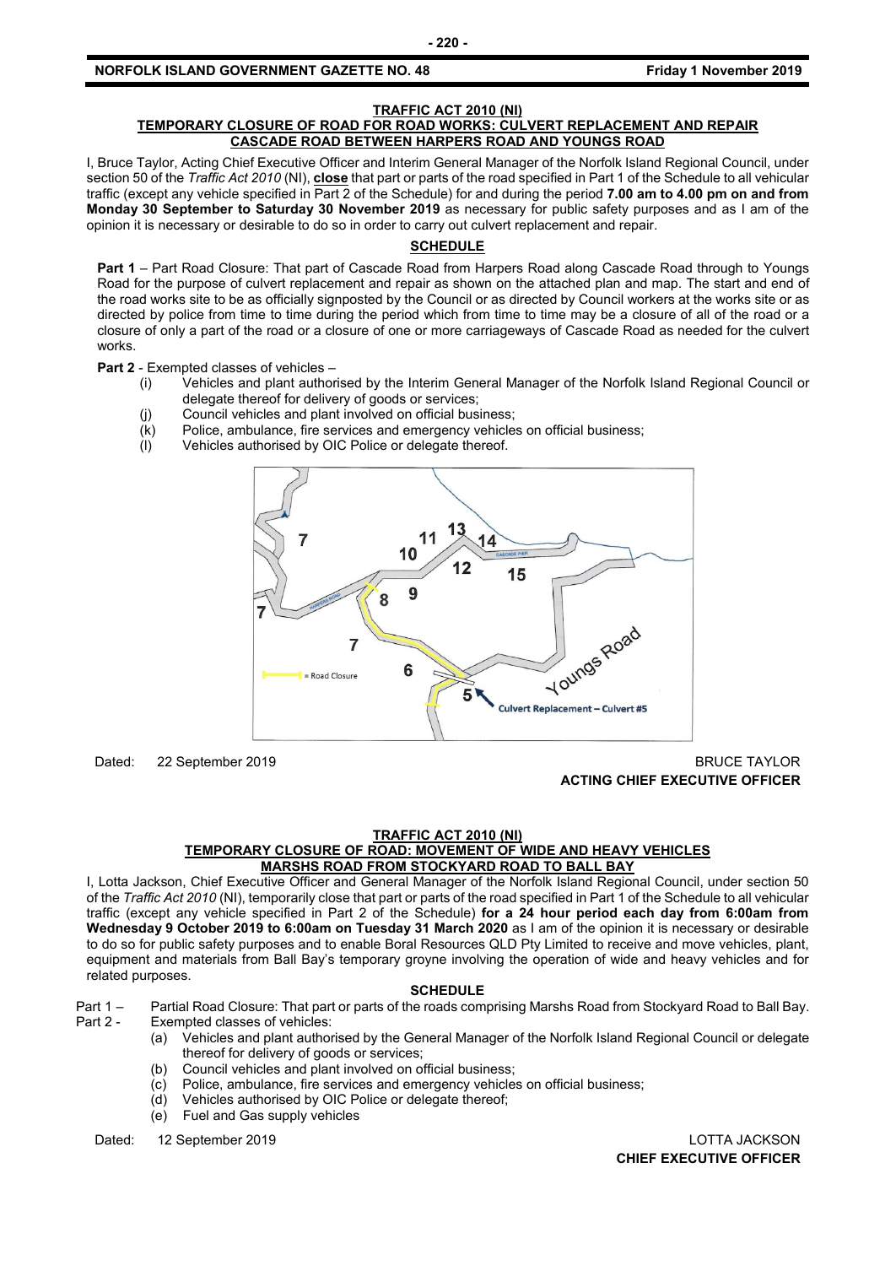#### **TRAFFIC ACT 2010 (NI)**

#### **TEMPORARY CLOSURE OF ROAD FOR ROAD WORKS: CULVERT REPLACEMENT AND REPAIR CASCADE ROAD BETWEEN HARPERS ROAD AND YOUNGS ROAD**

I, Bruce Taylor, Acting Chief Executive Officer and Interim General Manager of the Norfolk Island Regional Council, under section 50 of the *Traffic Act 2010* (NI), **close** that part or parts of the road specified in Part 1 of the Schedule to all vehicular traffic (except any vehicle specified in Part 2 of the Schedule) for and during the period **7.00 am to 4.00 pm on and from Monday 30 September to Saturday 30 November 2019** as necessary for public safety purposes and as I am of the opinion it is necessary or desirable to do so in order to carry out culvert replacement and repair.

## **SCHEDULE**

**Part 1** – Part Road Closure: That part of Cascade Road from Harpers Road along Cascade Road through to Youngs Road for the purpose of culvert replacement and repair as shown on the attached plan and map. The start and end of the road works site to be as officially signposted by the Council or as directed by Council workers at the works site or as directed by police from time to time during the period which from time to time may be a closure of all of the road or a closure of only a part of the road or a closure of one or more carriageways of Cascade Road as needed for the culvert works.

**Part 2** - Exempted classes of vehicles –

- (i) Vehicles and plant authorised by the Interim General Manager of the Norfolk Island Regional Council or delegate thereof for delivery of goods or services;
	- (j) Council vehicles and plant involved on official business;
	- (k) Police, ambulance, fire services and emergency vehicles on official business;
	- (l) Vehicles authorised by OIC Police or delegate thereof.



Dated: 22 September 2019 BRUCE TAYLOR

**ACTING CHIEF EXECUTIVE OFFICER**

#### **TRAFFIC ACT 2010 (NI)**

#### **TEMPORARY CLOSURE OF ROAD: MOVEMENT OF WIDE AND HEAVY VEHICLES MARSHS ROAD FROM STOCKYARD ROAD TO BALL BAY**

I, Lotta Jackson, Chief Executive Officer and General Manager of the Norfolk Island Regional Council, under section 50 of the *Traffic Act 2010* (NI), temporarily close that part or parts of the road specified in Part 1 of the Schedule to all vehicular traffic (except any vehicle specified in Part 2 of the Schedule) **for a 24 hour period each day from 6:00am from Wednesday 9 October 2019 to 6:00am on Tuesday 31 March 2020** as I am of the opinion it is necessary or desirable to do so for public safety purposes and to enable Boral Resources QLD Pty Limited to receive and move vehicles, plant, equipment and materials from Ball Bay's temporary groyne involving the operation of wide and heavy vehicles and for related purposes.

#### **SCHEDULE**

Part 1 – Partial Road Closure: That part or parts of the roads comprising Marshs Road from Stockyard Road to Ball Bay.

- Exempted classes of vehicles:
	- (a) Vehicles and plant authorised by the General Manager of the Norfolk Island Regional Council or delegate thereof for delivery of goods or services;
	- (b) Council vehicles and plant involved on official business;
	- (c) Police, ambulance, fire services and emergency vehicles on official business;
	- (d) Vehicles authorised by OIC Police or delegate thereof;
	- (e) Fuel and Gas supply vehicles

Dated: 12 September 2019 LOTTA JACKSON

**CHIEF EXECUTIVE OFFICER**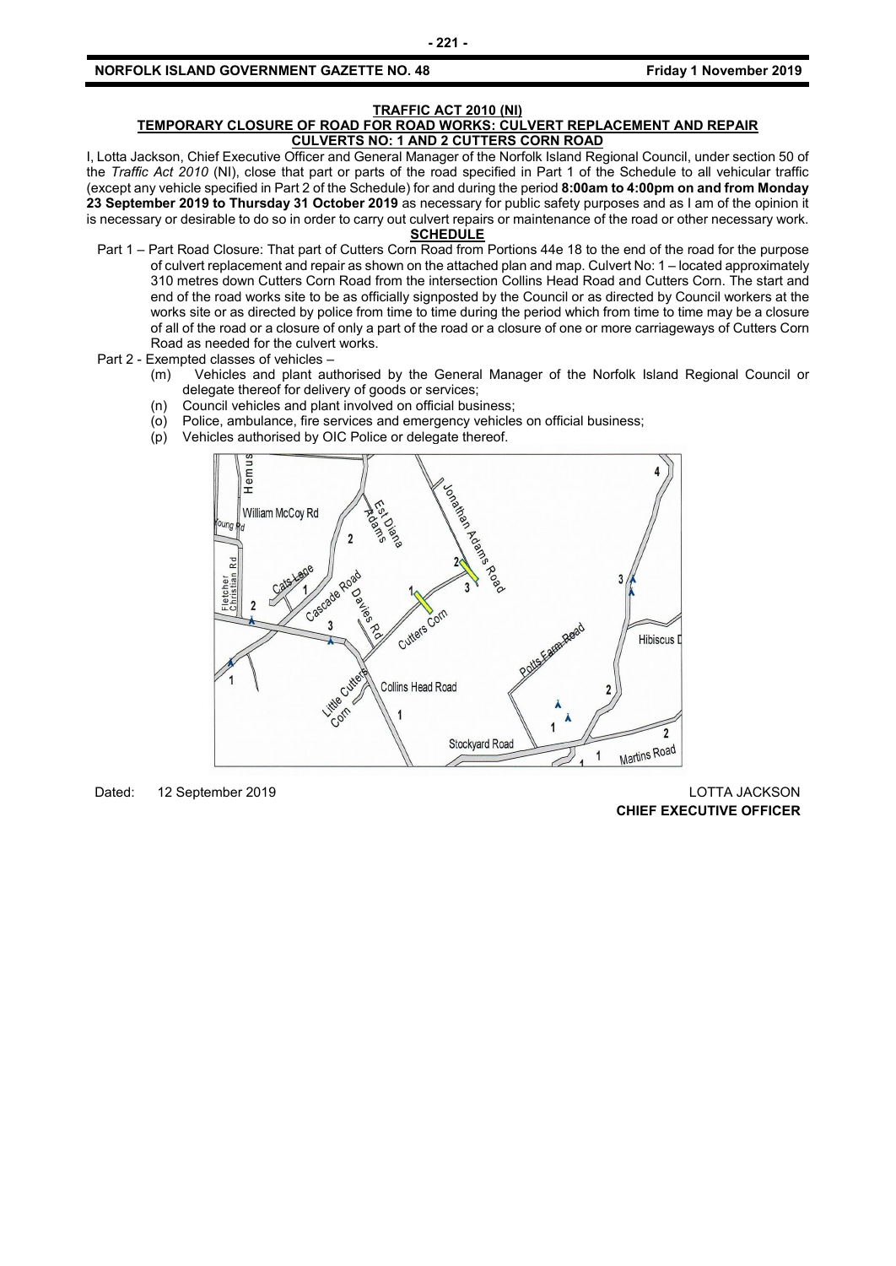## **TRAFFIC ACT 2010 (NI)**

#### **TEMPORARY CLOSURE OF ROAD FOR ROAD WORKS: CULVERT REPLACEMENT AND REPAIR CULVERTS NO: 1 AND 2 CUTTERS CORN ROAD**

I, Lotta Jackson, Chief Executive Officer and General Manager of the Norfolk Island Regional Council, under section 50 of the *Traffic Act 2010* (NI), close that part or parts of the road specified in Part 1 of the Schedule to all vehicular traffic (except any vehicle specified in Part 2 of the Schedule) for and during the period **8:00am to 4:00pm on and from Monday 23 September 2019 to Thursday 31 October 2019** as necessary for public safety purposes and as I am of the opinion it is necessary or desirable to do so in order to carry out culvert repairs or maintenance of the road or other necessary work.

#### **SCHEDULE**

- Part 1 Part Road Closure: That part of Cutters Corn Road from Portions 44e 18 to the end of the road for the purpose of culvert replacement and repair as shown on the attached plan and map. Culvert No: 1 – located approximately 310 metres down Cutters Corn Road from the intersection Collins Head Road and Cutters Corn. The start and end of the road works site to be as officially signposted by the Council or as directed by Council workers at the works site or as directed by police from time to time during the period which from time to time may be a closure of all of the road or a closure of only a part of the road or a closure of one or more carriageways of Cutters Corn Road as needed for the culvert works.
- Part 2 Exempted classes of vehicles
	- (m) Vehicles and plant authorised by the General Manager of the Norfolk Island Regional Council or delegate thereof for delivery of goods or services;
	- (n) Council vehicles and plant involved on official business;
	- (o) Police, ambulance, fire services and emergency vehicles on official business;
	- (p) Vehicles authorised by OIC Police or delegate thereof.



Dated: 12 September 2019 **Dates 2019** LOTTA JACKSON

**CHIEF EXECUTIVE OFFICER**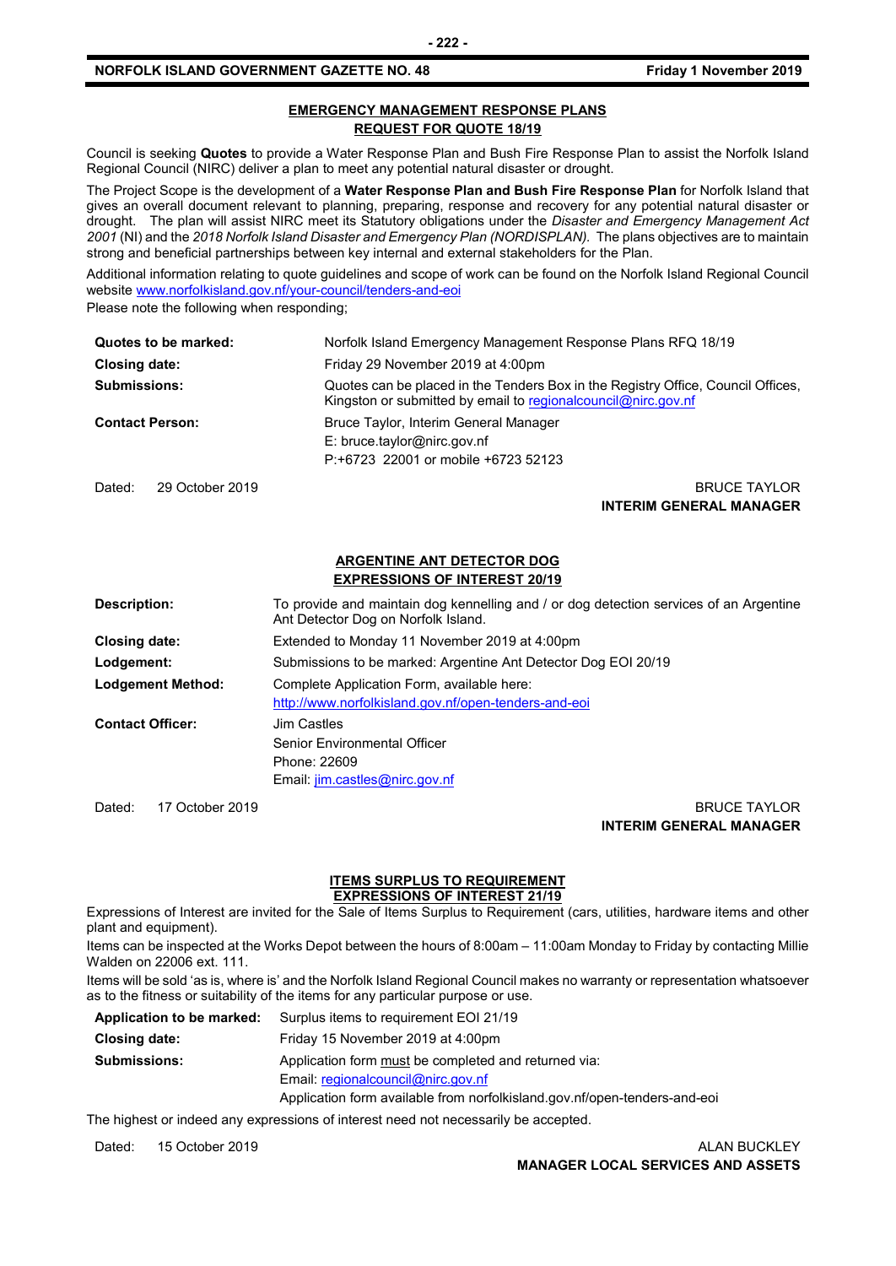#### **EMERGENCY MANAGEMENT RESPONSE PLANS REQUEST FOR QUOTE 18/19**

Council is seeking **Quotes** to provide a Water Response Plan and Bush Fire Response Plan to assist the Norfolk Island Regional Council (NIRC) deliver a plan to meet any potential natural disaster or drought.

The Project Scope is the development of a **Water Response Plan and Bush Fire Response Plan** for Norfolk Island that gives an overall document relevant to planning, preparing, response and recovery for any potential natural disaster or drought. The plan will assist NIRC meet its Statutory obligations under the *Disaster and Emergency Management Act 2001* (NI) and the *2018 Norfolk Island Disaster and Emergency Plan (NORDISPLAN).* The plans objectives are to maintain strong and beneficial partnerships between key internal and external stakeholders for the Plan.

Additional information relating to quote guidelines and scope of work can be found on the Norfolk Island Regional Council websit[e www.norfolkisland.gov.nf/your-council/tenders-and-eoi](http://www.norfolkisland.gov.nf/your-council/tenders-and-eoi)

Please note the following when responding;

| Quotes to be marked:      | Norfolk Island Emergency Management Response Plans RFQ 18/19                                                                                        |
|---------------------------|-----------------------------------------------------------------------------------------------------------------------------------------------------|
| <b>Closing date:</b>      | Friday 29 November 2019 at 4:00pm                                                                                                                   |
| <b>Submissions:</b>       | Quotes can be placed in the Tenders Box in the Registry Office, Council Offices,<br>Kingston or submitted by email to regional council @nirc.gov.nf |
| <b>Contact Person:</b>    | Bruce Taylor, Interim General Manager<br>$E:$ bruce.taylor@nirc.gov.nf<br>P:+6723 22001 or mobile +6723 52123                                       |
| 29 October 2019<br>Dated: | <b>BRUCE TAYLOR</b>                                                                                                                                 |

**INTERIM GENERAL MANAGER**

#### **ARGENTINE ANT DETECTOR DOG EXPRESSIONS OF INTEREST 20/19**

| Description:             | To provide and maintain dog kennelling and / or dog detection services of an Argentine<br>Ant Detector Dog on Norfolk Island. |
|--------------------------|-------------------------------------------------------------------------------------------------------------------------------|
| Closing date:            | Extended to Monday 11 November 2019 at 4:00pm                                                                                 |
| Lodgement:               | Submissions to be marked: Argentine Ant Detector Dog EOI 20/19                                                                |
| <b>Lodgement Method:</b> | Complete Application Form, available here:<br>http://www.norfolkisland.gov.nf/open-tenders-and-eoi                            |
| <b>Contact Officer:</b>  | Jim Castles<br>Senior Environmental Officer<br>Phone: 22609<br>Email: jim.castles@nirc.gov.nf                                 |

Dated: 17 October 2019 BRUCE TAYLOR **INTERIM GENERAL MANAGER**

### **ITEMS SURPLUS TO REQUIREMENT**

**EXPRESSIONS OF INTEREST 21/19**

Expressions of Interest are invited for the Sale of Items Surplus to Requirement (cars, utilities, hardware items and other plant and equipment).

Items can be inspected at the Works Depot between the hours of 8:00am – 11:00am Monday to Friday by contacting Millie Walden on 22006 ext. 111.

Items will be sold 'as is, where is' and the Norfolk Island Regional Council makes no warranty or representation whatsoever as to the fitness or suitability of the items for any particular purpose or use.

| Application to be marked: | Surplus items to requirement EOI 21/19                                    |
|---------------------------|---------------------------------------------------------------------------|
| Closing date:             | Friday 15 November 2019 at 4:00pm                                         |
| <b>Submissions:</b>       | Application form must be completed and returned via:                      |
|                           | Email: regionalcouncil@nirc.gov.nf                                        |
|                           | Application form available from norfolkisland.gov.nf/open-tenders-and-eoi |

The highest or indeed any expressions of interest need not necessarily be accepted.

Dated: 15 October 2019 **ALAN BUCKLEY MANAGER LOCAL SERVICES AND ASSETS**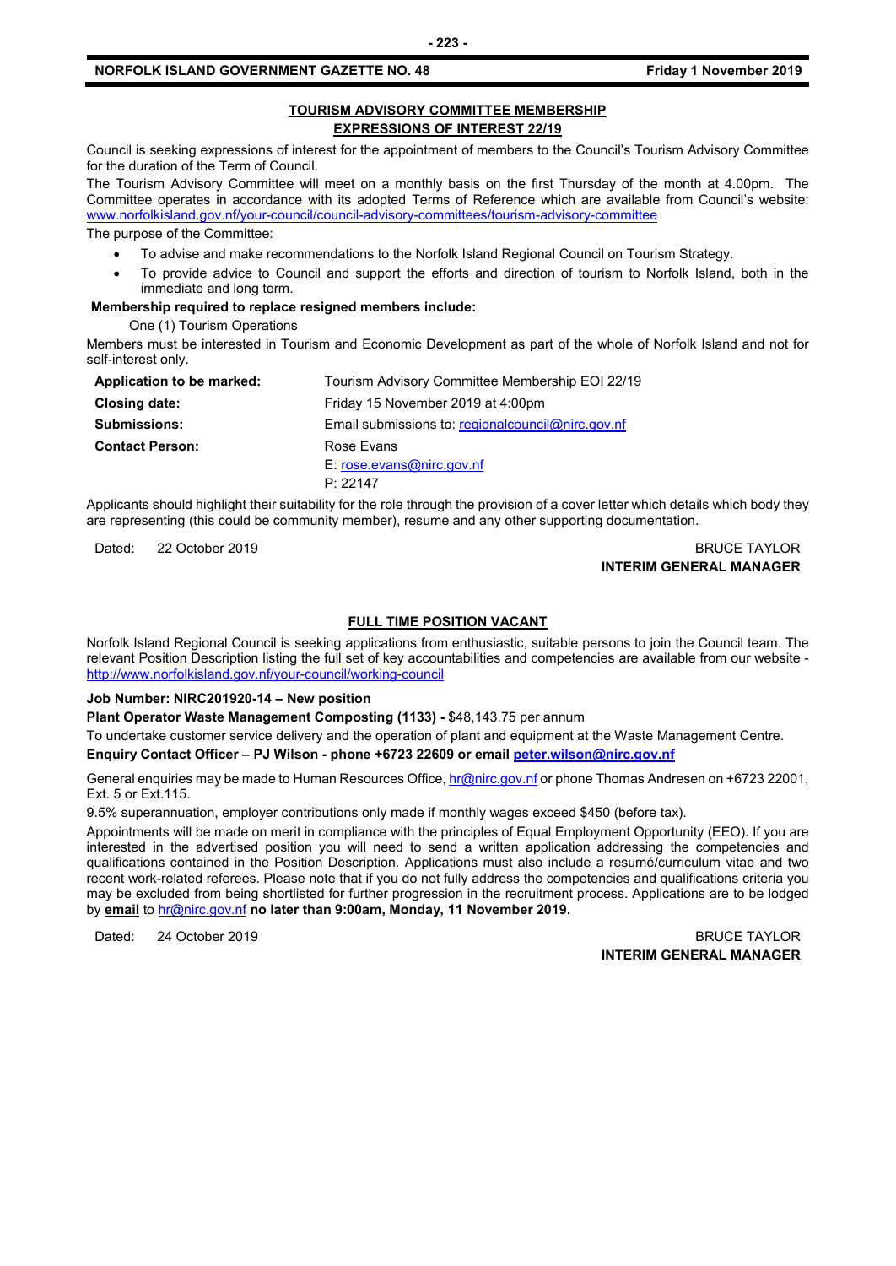#### **TOURISM ADVISORY COMMITTEE MEMBERSHIP EXPRESSIONS OF INTEREST 22/19**

Council is seeking expressions of interest for the appointment of members to the Council's Tourism Advisory Committee for the duration of the Term of Council.

The Tourism Advisory Committee will meet on a monthly basis on the first Thursday of the month at 4.00pm. The Committee operates in accordance with its adopted Terms of Reference which are available from Council's website: [www.norfolkisland.gov.nf/your-council/council-advisory-committees/tourism-advisory-committee](http://www.norfolkisland.gov.nf/your-council/council-advisory-committees/tourism-advisory-committee)

The purpose of the Committee:

- To advise and make recommendations to the Norfolk Island Regional Council on Tourism Strategy.
- To provide advice to Council and support the efforts and direction of tourism to Norfolk Island, both in the immediate and long term.

#### **Membership required to replace resigned members include:**

One (1) Tourism Operations

Members must be interested in Tourism and Economic Development as part of the whole of Norfolk Island and not for self-interest only.

| Application to be marked: | Tourism Advisory Committee Membership EOI 22/19     |
|---------------------------|-----------------------------------------------------|
| <b>Closing date:</b>      | Friday 15 November 2019 at 4:00pm                   |
| <b>Submissions:</b>       | Email submissions to: regional council @nirc.gov.nf |
| <b>Contact Person:</b>    | Rose Evans                                          |
|                           | $E:$ rose.evans@nirc.gov.nf                         |
|                           | P: 22147                                            |

Applicants should highlight their suitability for the role through the provision of a cover letter which details which body they are representing (this could be community member), resume and any other supporting documentation.

Dated: 22 October 2019 BRUCE TAYLOR **INTERIM GENERAL MANAGER**

#### **FULL TIME POSITION VACANT**

Norfolk Island Regional Council is seeking applications from enthusiastic, suitable persons to join the Council team. The relevant Position Description listing the full set of key accountabilities and competencies are available from our website <http://www.norfolkisland.gov.nf/your-council/working-council>

#### **Job Number: NIRC201920-14 – New position**

**Plant Operator Waste Management Composting (1133) -** \$48,143.75 per annum

To undertake customer service delivery and the operation of plant and equipment at the Waste Management Centre. **Enquiry Contact Officer – PJ Wilson - phone +6723 22609 or email [peter.wilson@nirc.gov.nf](mailto:peter.wilson@nirc.gov.nf)**

General enquiries may be made to Human Resources Office[, hr@nirc.gov.nf](mailto:hr@nirc.gov.nf) or phone Thomas Andresen on +6723 22001, Ext. 5 or Ext.115.

9.5% superannuation, employer contributions only made if monthly wages exceed \$450 (before tax).

Appointments will be made on merit in compliance with the principles of Equal Employment Opportunity (EEO). If you are interested in the advertised position you will need to send a written application addressing the competencies and qualifications contained in the Position Description. Applications must also include a resumé/curriculum vitae and two recent work-related referees. Please note that if you do not fully address the competencies and qualifications criteria you may be excluded from being shortlisted for further progression in the recruitment process. Applications are to be lodged by **email** to [hr@nirc.gov.nf](mailto:hr@nirc.gov.nf) **no later than 9:00am, Monday, 11 November 2019.** 

Dated: 24 October 2019 BRUCE TAYLOR

**INTERIM GENERAL MANAGER**